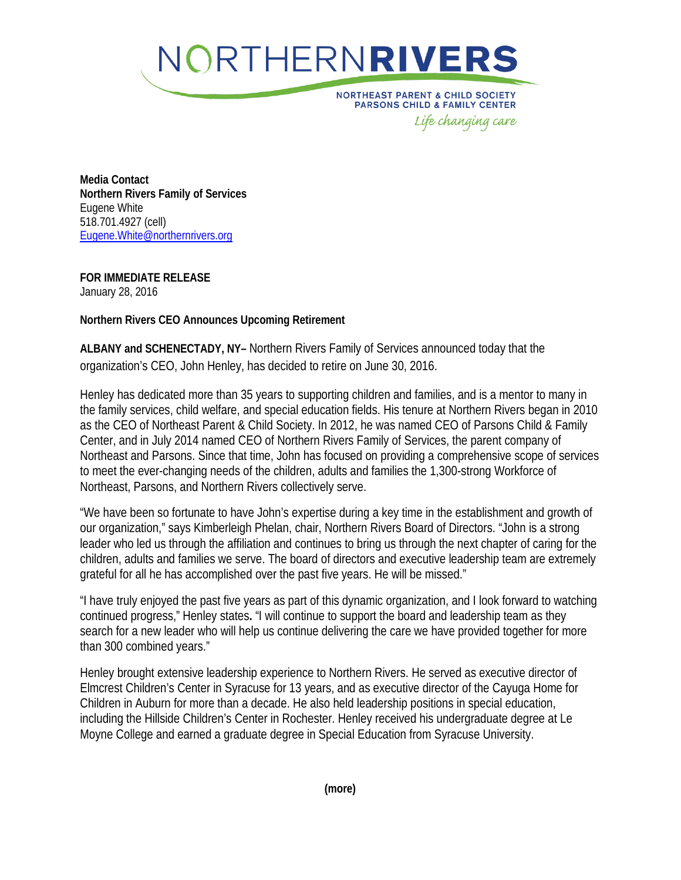

**NORTHEAST PARENT & CHILD SOCIETY PARSONS CHILD & FAMILY CENTER** Life changing care

**Media Contact Northern Rivers Family of Services** Eugene White 518.701.4927 (cell) [Eugene.White@northernrivers.org](mailto:Eugene.White@northernrivers.org)

**FOR IMMEDIATE RELEASE** January 28, 2016

**Northern Rivers CEO Announces Upcoming Retirement**

**ALBANY and SCHENECTADY, NY–** Northern Rivers Family of Services announced today that the organization's CEO, John Henley, has decided to retire on June 30, 2016.

Henley has dedicated more than 35 years to supporting children and families, and is a mentor to many in the family services, child welfare, and special education fields. His tenure at Northern Rivers began in 2010 as the CEO of Northeast Parent & Child Society. In 2012, he was named CEO of Parsons Child & Family Center, and in July 2014 named CEO of Northern Rivers Family of Services, the parent company of Northeast and Parsons. Since that time, John has focused on providing a comprehensive scope of services to meet the ever-changing needs of the children, adults and families the 1,300-strong Workforce of Northeast, Parsons, and Northern Rivers collectively serve.

"We have been so fortunate to have John's expertise during a key time in the establishment and growth of our organization," says Kimberleigh Phelan, chair, Northern Rivers Board of Directors. "John is a strong leader who led us through the affiliation and continues to bring us through the next chapter of caring for the children, adults and families we serve. The board of directors and executive leadership team are extremely grateful for all he has accomplished over the past five years. He will be missed."

"I have truly enjoyed the past five years as part of this dynamic organization, and I look forward to watching continued progress," Henley states**.** "I will continue to support the board and leadership team as they search for a new leader who will help us continue delivering the care we have provided together for more than 300 combined years."

Henley brought extensive leadership experience to Northern Rivers. He served as executive director of Elmcrest Children's Center in Syracuse for 13 years, and as executive director of the Cayuga Home for Children in Auburn for more than a decade. He also held leadership positions in special education, including the Hillside Children's Center in Rochester. Henley received his undergraduate degree at Le Moyne College and earned a graduate degree in Special Education from Syracuse University.